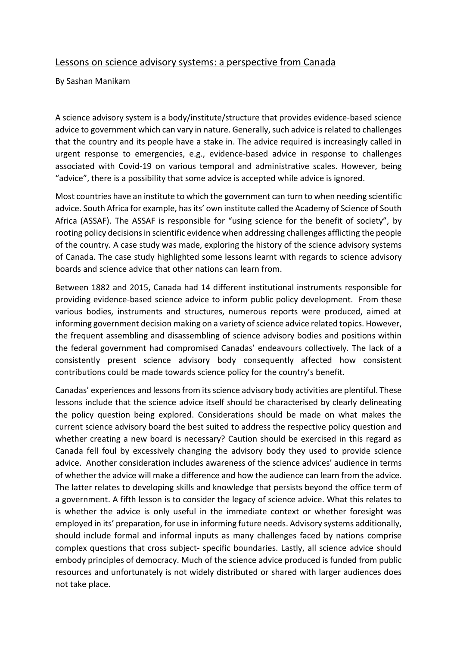## Lessons on science advisory systems: a perspective from Canada

By Sashan Manikam

A science advisory system is a body/institute/structure that provides evidence-based science advice to government which can vary in nature. Generally, such advice isrelated to challenges that the country and its people have a stake in. The advice required is increasingly called in urgent response to emergencies, e.g., evidence-based advice in response to challenges associated with Covid-19 on various temporal and administrative scales. However, being "advice", there is a possibility that some advice is accepted while advice is ignored.

Most countries have an institute to which the government can turn to when needing scientific advice. South Africa for example, has its' own institute called the Academy of Science of South Africa (ASSAF). The ASSAF is responsible for "using science for the benefit of society", by rooting policy decisions in scientific evidence when addressing challenges afflicting the people of the country. A case study was made, exploring the history of the science advisory systems of Canada. The case study highlighted some lessons learnt with regards to science advisory boards and science advice that other nations can learn from.

Between 1882 and 2015, Canada had 14 different institutional instruments responsible for providing evidence-based science advice to inform public policy development. From these various bodies, instruments and structures, numerous reports were produced, aimed at informing government decision making on a variety of science advice related topics. However, the frequent assembling and disassembling of science advisory bodies and positions within the federal government had compromised Canadas' endeavours collectively. The lack of a consistently present science advisory body consequently affected how consistent contributions could be made towards science policy for the country's benefit.

Canadas' experiences and lessons from its science advisory body activities are plentiful. These lessons include that the science advice itself should be characterised by clearly delineating the policy question being explored. Considerations should be made on what makes the current science advisory board the best suited to address the respective policy question and whether creating a new board is necessary? Caution should be exercised in this regard as Canada fell foul by excessively changing the advisory body they used to provide science advice. Another consideration includes awareness of the science advices' audience in terms of whether the advice will make a difference and how the audience can learn from the advice. The latter relates to developing skills and knowledge that persists beyond the office term of a government. A fifth lesson is to consider the legacy of science advice. What this relates to is whether the advice is only useful in the immediate context or whether foresight was employed in its' preparation, for use in informing future needs. Advisory systems additionally, should include formal and informal inputs as many challenges faced by nations comprise complex questions that cross subject- specific boundaries. Lastly, all science advice should embody principles of democracy. Much of the science advice produced is funded from public resources and unfortunately is not widely distributed or shared with larger audiences does not take place.